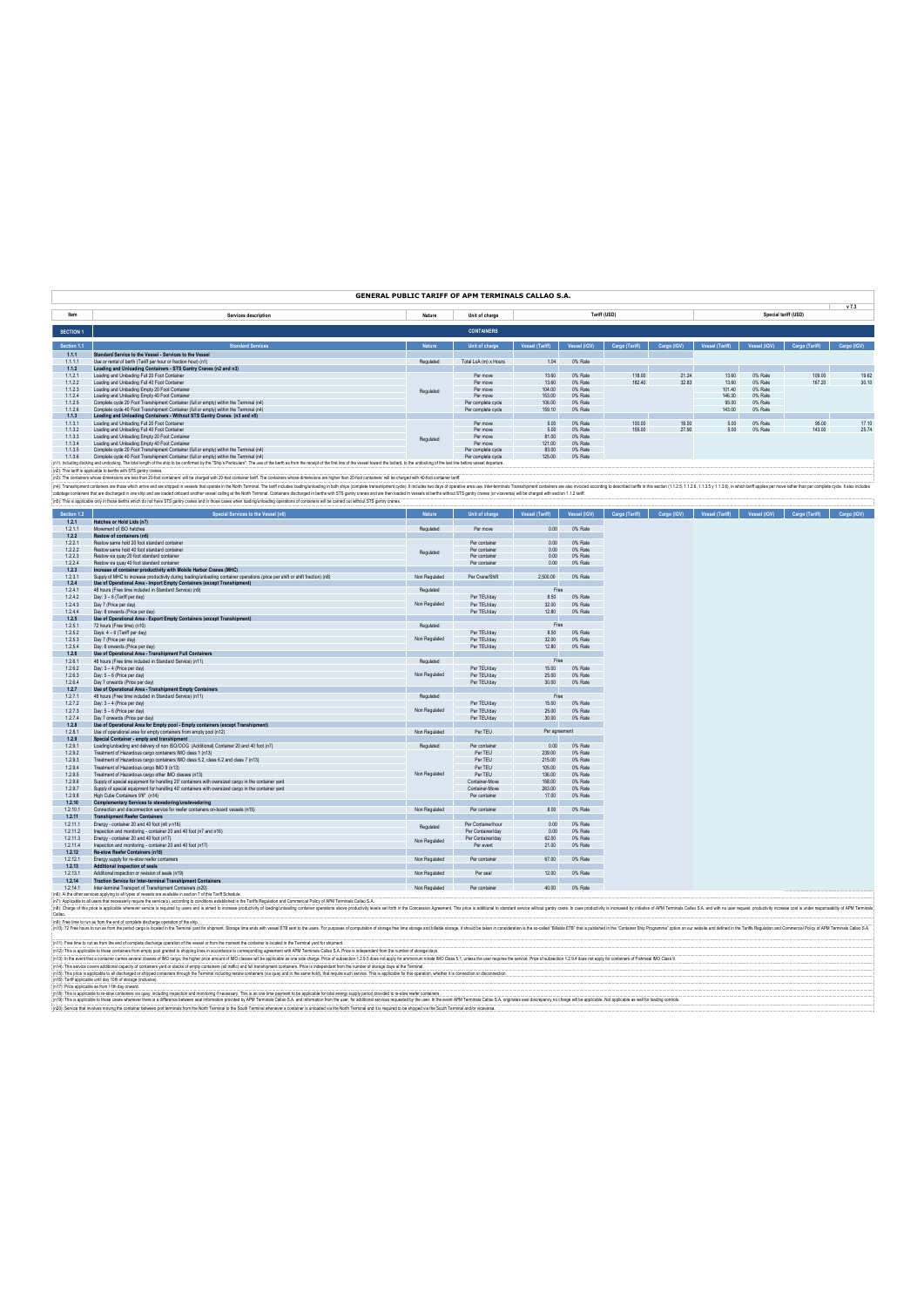|                    |                                                                                                                                                                                                                                |               | GENERAL PUBLIC TARIFF OF APM TERMINALS CALLAO S.A. |                  |                    |                |                            |                             |                    |                      |             |
|--------------------|--------------------------------------------------------------------------------------------------------------------------------------------------------------------------------------------------------------------------------|---------------|----------------------------------------------------|------------------|--------------------|----------------|----------------------------|-----------------------------|--------------------|----------------------|-------------|
| Item               | Services description                                                                                                                                                                                                           | Nature        | Unit of charge                                     |                  |                    | Tariff (USD)   |                            |                             |                    | Special tariff (USD) | v7.3        |
| <b>SECTION 1</b>   |                                                                                                                                                                                                                                |               | <b>CONTAINERS</b>                                  |                  |                    |                |                            |                             |                    |                      |             |
| Section 1.1        | <b>Standard Services</b>                                                                                                                                                                                                       | <b>Notur</b>  | Unit of charge                                     | Vessel (Tariff)  | Vessel (IGV)       |                | Cargo (Tariff) Cargo (IGV) | Vessel (Tariff)             | Vessel (IGV)       | Cargo (Tariff)       | Cargo (IGV) |
| 1.1.1              | Standard Service to the Vessel - Services to the Vessel                                                                                                                                                                        |               |                                                    |                  |                    |                |                            |                             |                    |                      |             |
| 1.1.1.1<br>1.1.2   | Use or rental of berth (Tariff per hour or fraction hour) (n1)<br>Loading and Unloading Containers - STS Gantry Cranes (n2 and n3)                                                                                             | Regulated     | Total LoA (m) x Hours                              | 1.04             | 0% Rate            |                |                            |                             |                    |                      |             |
| 1121               | Loading and Unbading Full 20 Foot Container                                                                                                                                                                                    |               | Per move                                           | 13.60            | O% Rote            | 118.00         | 21.24                      | 13.60                       | 0% Rate            | 109.00               | 19.62       |
| 1.1.2.2            | Loading and Unloading Full 40 Foot Container                                                                                                                                                                                   |               | Per move                                           | 13.60            | 0% Rate            | 182.40         | 32.83                      | 13.60                       | 0% Rate            | 167.20               | 30.10       |
| 1123<br>1.1.2.4    | Loading and Unipading Empty 20 Foot Container<br>Loading and Unloading Empty 40 Foot Container                                                                                                                                 | Regulated     | Par mnua<br>Per move                               | 104.00<br>153.00 | O% Rote<br>0% Rate |                |                            | 101.40<br>146.30            | O% Rote<br>0% Rate |                      |             |
| 1.1.2.5            | Complete cycle 20 Foot Transhipment Container (full or empty) within the Terminal (n4)                                                                                                                                         |               | Per complete cycle                                 | 106.00           | 0% Rate            |                |                            | 95.00                       | 0% Rate            |                      |             |
| 1126               | Complete cycle 40 Eoot Transhipment Container (full or empty) within the Terminal (p4)                                                                                                                                         |               | Per complete cycle                                 | 159 10           | 0% Rate            |                |                            | 143.00                      | 0% Rate            |                      |             |
| 1.1.3<br>1131      | Loading and Unloading Containers - Without STS Gantry Cranes (n3 and n5)<br>Loading and Unloading Full 20 Foot Container                                                                                                       |               | Per move                                           | 5.00             | 0% Rate            | 100.00         | 18.00                      | 5.00                        | 0% Rate            | 95.00                | 17.10       |
| 1132               | Loading and Uningdian Full 40 Foot Container                                                                                                                                                                                   |               | Per move                                           | 500              | O% Rote            | 155.00         | 27 QO                      | 500                         | 0% Rate            | 143.00               | 2574        |
| 1.1.3.3            | Loading and Unloading Empty 20 Foot Container                                                                                                                                                                                  | Regulated     | Per move                                           | 81.00            | 0% Rate            |                |                            |                             |                    |                      |             |
| 1134               | Loading and Unloading Empty 40 Foot Container                                                                                                                                                                                  |               | Per move                                           | 121.00           | 0% Rate            |                |                            |                             |                    |                      |             |
| 1.1.3.5<br>1136    | Complete cycle 20 Foot Transhipment Container (full or empty) within the Terminal (n4)<br>Complete cycle 40 Foot Transhipment Container (full or empty) within the Terminal (n4)                                               |               | Per complete cycle<br>Per complete cycle           | 83.00<br>125.00  | 0% Rate<br>0% Rate |                |                            |                             |                    |                      |             |
|                    | (n1): Including docking and undocking. The total length of the ship to be confirmed by the "Ship's Particulars". The use of the berth as from the receipt of the first line of the versel toward the below, to the collecting  |               |                                                    |                  |                    |                |                            |                             |                    |                      |             |
|                    | (n2): This tariff is applicable to berths with STS gantry cranes.                                                                                                                                                              |               |                                                    |                  |                    |                |                            |                             |                    |                      |             |
|                    | (n3): The containers whose dimensions are less than 20-foot containers' will be charged with 20-foot container tanff. The containers whose dimensions are higher than 20-foot containers' will be charged with 40-foot contain |               |                                                    |                  |                    |                |                            |                             |                    |                      |             |
|                    | (n4): Transabipment containers are those which arrive and are shipped in vessels that operate in the North Terminal. The tariff includes loading/unioading in both ships (complete transabipment cycle). It includes to days o |               |                                                    |                  |                    |                |                            |                             |                    |                      |             |
|                    | cabotage containers that are discharged in one ship and are loaded onboard another vessel calling at the North Terminal. Containers discharged in berths with STS gantry cranes and are then loaded in vessels at berths with  |               |                                                    |                  |                    |                |                            |                             |                    |                      |             |
|                    | (n5): This is applicable only in those berths which do not have STS gantry cranes and in those cases when loading/unloading operations of containers will be camed out without STS gantry cranes.                              |               |                                                    |                  |                    |                |                            |                             |                    |                      |             |
| Section 1.2        | Special Services to the Vessel (n6)                                                                                                                                                                                            | Nature        | Unit of charge                                     | Vessel (Tariff)  | Vessel (IGV)       | Cargo (Tariff) |                            | Cargo (IGV) Vessel (Tariff) | Vessel (IGV)       | Cargo (Tariff)       | Cargo (IGV) |
| 1.2.1              | Hatches or Hold Lids (n7)                                                                                                                                                                                                      |               |                                                    |                  |                    |                |                            |                             |                    |                      |             |
| 1.2.1.1<br>1.2.2   | Movement of ISO hatches<br>Restow of containers (n6)                                                                                                                                                                           | Regulated     | Per move                                           | 0.00             | 0% Rate            |                |                            |                             |                    |                      |             |
| 1.2.2.1            | Restow same hold 20 foot standard container                                                                                                                                                                                    |               | Per container                                      | 0.00             | 0% Rate            |                |                            |                             |                    |                      |             |
| 1222               | Restow same hold 40 foot standard container                                                                                                                                                                                    | Regulated     | Per container                                      | 0.00             | 0% Rate            |                |                            |                             |                    |                      |             |
| 1223               | Restow via guay 20 foot standard container                                                                                                                                                                                     |               | Per container                                      | 0.00             | 0% Rate            |                |                            |                             |                    |                      |             |
| 1224<br>1.2.3      | Restow via quay 40 foot standard container<br>Increase of container productivity with Mobile Harbor Cranes (MHC)                                                                                                               |               | Per container                                      | 0.00             | 0% Rate            |                |                            |                             |                    |                      |             |
| 1231               | Supply of MHC to increase productivity during bading/unloading container operations (price per shift or shift fraction) (p8)                                                                                                   | Non Requisted | Per Crane/Shift                                    | 2.500.00         | 0% Rate            |                |                            |                             |                    |                      |             |
| 1.2.4              | Use of Operational Area - Import Empty Containers (except Transhipment)                                                                                                                                                        |               |                                                    |                  |                    |                |                            |                             |                    |                      |             |
| 1241               | 48 hours (Free time included in Standard Service) (n9)                                                                                                                                                                         | Regulated     |                                                    | Free             |                    |                |                            |                             |                    |                      |             |
| 1242<br>1243       | Dav: 3 - 6 (Tariff per dav)<br>Day 7 (Price per day)                                                                                                                                                                           | Non Regulated | Per TEU/day                                        | 8.50             | 0% Rate<br>0% Rate |                |                            |                             |                    |                      |             |
| 1244               | Day: 8 onwards (Price per day)                                                                                                                                                                                                 |               | Per TFLI/day<br>Per TEU/day                        | 3200<br>12.80    | 0% Rate            |                |                            |                             |                    |                      |             |
| 1.2.5              | Use of Operational Area - Export Empty Containers (except Transhipment)                                                                                                                                                        |               |                                                    |                  |                    |                |                            |                             |                    |                      |             |
| 1.2.5.1            | 72 hours (Free time) (n10)                                                                                                                                                                                                     | Regulated     |                                                    | Free             |                    |                |                            |                             |                    |                      |             |
| 1252               | Days: 4 - 6 (Tariff per day)                                                                                                                                                                                                   |               | Per TFU/day                                        | 8.50             | O% Rote            |                |                            |                             |                    |                      |             |
| 1.2.5.3<br>1254    | Day 7 (Price per day)<br>Day: 8 onwards (Price per day)                                                                                                                                                                        | Non Regulated | Per TEU/day                                        | 32.00<br>12.80   | 0% Rate<br>O% Rote |                |                            |                             |                    |                      |             |
| 1.2.6              | Use of Operational Area - Transhipment Full Containers                                                                                                                                                                         |               | Per TEU/day                                        |                  |                    |                |                            |                             |                    |                      |             |
| 1261               | 48 hours (Free time included in Standard Service) (n11).                                                                                                                                                                       | Regulated     |                                                    | Free             |                    |                |                            |                             |                    |                      |             |
| 1.2.6.2            | Day: 3 - 4 (Price per day)                                                                                                                                                                                                     |               | Per TEU/day                                        | 15.00            | 0% Rate            |                |                            |                             |                    |                      |             |
| 1.2.6.3            | Day: 5 - 6 (Price per day)                                                                                                                                                                                                     | Non Regulated | Per TEU/day                                        | 25.00            | 0% Rate            |                |                            |                             |                    |                      |             |
| 1.26.4<br>1.2.7    | Day 7 onwards (Price per day)<br>Use of Operational Area - Transhipment Empty Containers                                                                                                                                       |               | Per TEU/day                                        | 30.00            | 0% Rate            |                |                            |                             |                    |                      |             |
| 1271               | 48 hours (Free time included in Standard Service) (n11)                                                                                                                                                                        | Requisied     |                                                    | Free             |                    |                |                            |                             |                    |                      |             |
| 1.2.7.2            | Day: 3 - 4 (Price per day)                                                                                                                                                                                                     |               | Per TEU/day                                        | 15.00            | 0% Rate            |                |                            |                             |                    |                      |             |
| 1.2.7.3            | Dav: 5 - 6 (Price per dav)                                                                                                                                                                                                     | Non Regulated | Per TEU/day                                        | 25.00            | 0% Rate            |                |                            |                             |                    |                      |             |
| 1.2.7.4            | Day 7 onwards (Price per day)                                                                                                                                                                                                  |               | Per TEU/day                                        | 30.00            | 0% Rate            |                |                            |                             |                    |                      |             |
| 1.2.8<br>1281      | Use of Operational Area for Empty pool - Empty containers (except Transhipment)<br>Use of operational area for empty containers from empty pool (n12)                                                                          | Non Regulated | Per TEU                                            | Per agreement    |                    |                |                            |                             |                    |                      |             |
| 1.2.9              | Special Container - empty and transhipment                                                                                                                                                                                     |               |                                                    |                  |                    |                |                            |                             |                    |                      |             |
| 1.2.9.1            | Loading/unloading and delivery of non ISO/OOG (Additional) Container 20 and 40 foot (n7)                                                                                                                                       | Requisied     | Per container                                      | 0.00             | 0% Rate            |                |                            |                             |                    |                      |             |
| 1292               | Treatment of Hazardous cargo containers IMO class 1 (n13)                                                                                                                                                                      |               | Per TFII                                           | 239.00           | 0% Rate            |                |                            |                             |                    |                      |             |
| 1293               | Treatment of Hazardous cargo containers IMO class 5.2, class 6.2 and class 7 (n13)                                                                                                                                             |               | Per TEU                                            | 215.00           | 0% Rate            |                |                            |                             |                    |                      |             |
| 1294<br>1295       | Treatment of Hazardous carno IMO 9 (n13)<br>Treatment of Hazardous cargo other IMO classes (n13)                                                                                                                               | Non Regulated | Per TFU<br>Per TFII                                | 105.00<br>136.00 | 0% Rote<br>0% Rate |                |                            |                             |                    |                      |             |
| 1296               | Supply of special equipment for handling 20' containers with oversized cargo in the container vard                                                                                                                             |               | Container-Move                                     | 158.00           | 0% Rate            |                |                            |                             |                    |                      |             |
| 1.2.9.7            | Supply of special equipment for handling 40' containers with oversized cargo in the container yard                                                                                                                             |               | Container-Move                                     | 263.00           | 0% Rate            |                |                            |                             |                    |                      |             |
| 1298               | High Cube Containers 9'6" (n14)                                                                                                                                                                                                |               | Per container                                      | 17.00            | 0% Rate            |                |                            |                             |                    |                      |             |
| 1.2.10             | Complementary Services to stevedoring/unstevedoring                                                                                                                                                                            |               |                                                    |                  |                    |                |                            |                             |                    |                      |             |
| 1.2.10.1<br>1.2.11 | Connection and disconnection service for reefer containers on-board vessels (n15)<br><b>Transhipment Reefer Containers</b>                                                                                                     | Non Regulated | Per container                                      | 8.00             | 0% Rate            |                |                            |                             |                    |                      |             |
| 1.2.11.1           | Energy - container 20 and 40 foot (n6 y n16)                                                                                                                                                                                   |               | Per Container/hour                                 | 0.00             | 0% Rate            |                |                            |                             |                    |                      |             |
| 1.2.11.2           | Inspection and monitoring - container 20 and 40 foot (n7 and n16).                                                                                                                                                             | Regulated     | Per Container/day                                  | 0.00             | 0% Rate            |                |                            |                             |                    |                      |             |
| 12113              | Enemy - container 20 and 40 foot (n17)                                                                                                                                                                                         | Non Regulated | Per Container/day                                  | 62.00            | 0% Rate            |                |                            |                             |                    |                      |             |
| 1.2.11.4           | Inspection and monitoring - container 20 and 40 foot (n17)                                                                                                                                                                     |               | Per event                                          | 21.00            | 0% Rate            |                |                            |                             |                    |                      |             |
| 1.2.12<br>12121    | Re-stow Reefer Containers (n18)<br>Energy supply for re-stow reefer containers.                                                                                                                                                | Non Requisted | Per container                                      | 67.00            | 0% Rate            |                |                            |                             |                    |                      |             |
| 1.2.13             | Additional inspection of seals                                                                                                                                                                                                 |               |                                                    |                  |                    |                |                            |                             |                    |                      |             |
| 12131              | Additional inspection or revision of seals (n19)                                                                                                                                                                               | Non Regulated | Per seal                                           | 1200             | 0% Rate            |                |                            |                             |                    |                      |             |
| 1.2.14             | Traction Service for Inter-terminal Transhipment Containers                                                                                                                                                                    |               |                                                    |                  |                    |                |                            |                             |                    |                      |             |
| 1.2.14.1           | Inter-terminal Transport of Transhipment Containers (n20)                                                                                                                                                                      | Non Regulated | Per container                                      | 40.00            | 0% Rate            |                |                            |                             |                    |                      |             |

(6). Ne det smice spin to all permits and the reduced and a main of the faith for all faith development Pair of APM Temas Calle SA. and the formulation of the main of the faith for the spin of the faith for the spin of the

(n)S, may re a splace be dischaped or blood and the splace of the memory may be a splace to the second of the second of the second of the second of the second of the second of the second of the second or discovered and the

(n14): This service covers additional capacity of containers yard or stacks of empty containers (all traffic) and full transhipment containers. Price is independant from the number of storage days at the Terminal.

(n11): Free time to run as from the end of complete discharge operation of the vessel or from the moment the container is located in the Terminal yard for shipment.

 $\overline{1}$ 

(n)Z mis aggiable b hose contents for endy pod geniel to highing incit in anorder consponding spennel with AMI ferminal Callo SA. Proce in dependent from the number of uses with a spenned in the substitution in the substit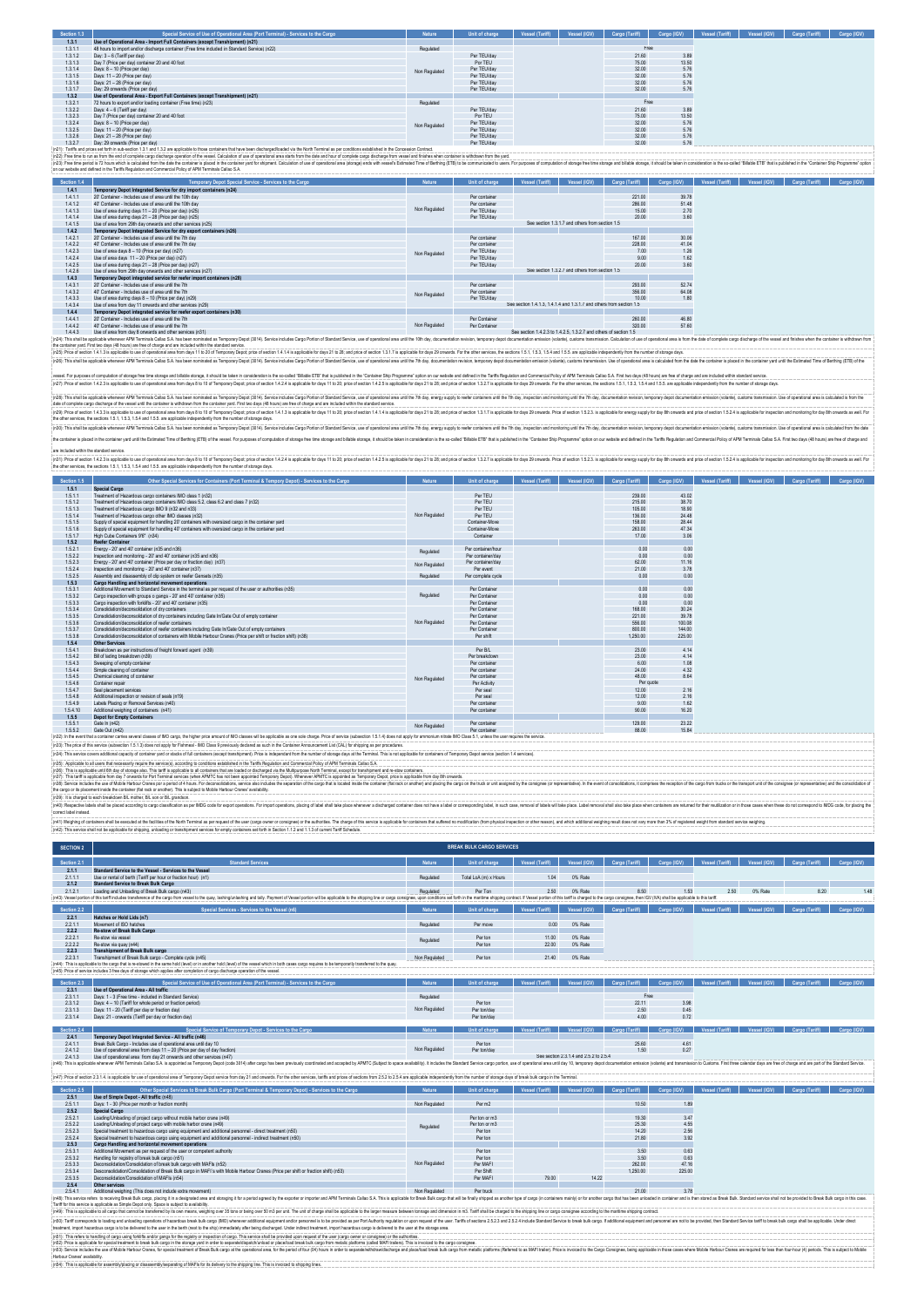| Section 1.3        | Special Service of Use of Operational Area (Port Terminal) - Services to the Cargo                                                                                                                                                                                                                                                                                                                                                                               | Nature        | Unit of charge               | Vessel (Tariff)                                                     | Vessel (IGV)                                    | Cargo (Tariff)  | Cargo (IGV)   | Vessel (Tariff) | Vessel (IGV) | Cargo (Tanff)  | Cargo (IGV) |
|--------------------|------------------------------------------------------------------------------------------------------------------------------------------------------------------------------------------------------------------------------------------------------------------------------------------------------------------------------------------------------------------------------------------------------------------------------------------------------------------|---------------|------------------------------|---------------------------------------------------------------------|-------------------------------------------------|-----------------|---------------|-----------------|--------------|----------------|-------------|
| 1.3.1              | Use of Operational Area - Import Full Containers (except Transhipment) (n21)                                                                                                                                                                                                                                                                                                                                                                                     |               |                              |                                                                     |                                                 |                 |               |                 |              |                |             |
| 1.3.1.1            | 48 hours to import and/or discharge container (Free time included in Standard Service) (n22)                                                                                                                                                                                                                                                                                                                                                                     | Regulated     |                              |                                                                     |                                                 | Free            |               |                 |              |                |             |
| 1.3.1.2            | Day: 3 - 6 (Tariff per day)                                                                                                                                                                                                                                                                                                                                                                                                                                      |               | Per TEU/day                  |                                                                     |                                                 | 21.60           | 3.89          |                 |              |                |             |
| 1.3.1.3            | Day 7 (Price per day) container 20 and 40 foot                                                                                                                                                                                                                                                                                                                                                                                                                   |               | Por TEU                      |                                                                     |                                                 | 75.00           | 13.50         |                 |              |                |             |
| 1314               | Days: 8 - 10 (Price per day)                                                                                                                                                                                                                                                                                                                                                                                                                                     | Non Regulated | Per TEU/day                  |                                                                     |                                                 | 3200            | 5.76          |                 |              |                |             |
| 1.3.1.5            | Days: 11 - 20 (Price per day)                                                                                                                                                                                                                                                                                                                                                                                                                                    |               | Per TEU/day                  |                                                                     |                                                 | 32.00           | 5.76          |                 |              |                |             |
| 1316               | Days: 21 - 28 (Price per day)                                                                                                                                                                                                                                                                                                                                                                                                                                    |               | Per TEU/day                  |                                                                     |                                                 | 3200            | 5.76          |                 |              |                |             |
| 1.3.1.7            | Day: 29 onwards (Price ner day)                                                                                                                                                                                                                                                                                                                                                                                                                                  |               | Per TEU/day                  |                                                                     |                                                 | 32.00           | 5.76          |                 |              |                |             |
| 1.3.2              | Use of Operational Area - Export Full Containers (except Transhipment) (n21)                                                                                                                                                                                                                                                                                                                                                                                     |               |                              |                                                                     |                                                 |                 |               |                 |              |                |             |
| 1.3.2.1            | 72 hours to export and/or loading container (Free time) (n23)                                                                                                                                                                                                                                                                                                                                                                                                    | Regulated     |                              |                                                                     |                                                 | Free            |               |                 |              |                |             |
| 1.3.2.2            | Days: 4 - 6 (Tariff per day)                                                                                                                                                                                                                                                                                                                                                                                                                                     |               | Per TEU/day                  |                                                                     |                                                 | 21.60           | 3.89          |                 |              |                |             |
| 1.3.2.3            | Day 7 (Price per day) container 20 and 40 foot                                                                                                                                                                                                                                                                                                                                                                                                                   |               | Por TEU                      |                                                                     |                                                 | 75.00           | 13.50         |                 |              |                |             |
| 1324               | Days: 8 - 10 (Price per day)                                                                                                                                                                                                                                                                                                                                                                                                                                     | Non Regulated | Per TEU/day                  |                                                                     |                                                 | 3200            | 5.76          |                 |              |                |             |
| 1.3.2.5            | Days: 11 - 20 (Price per day)                                                                                                                                                                                                                                                                                                                                                                                                                                    |               | Per TEU/day                  |                                                                     |                                                 | 32.00           | 5.76          |                 |              |                |             |
| 1326               | Days: 21 - 28 (Price per day)                                                                                                                                                                                                                                                                                                                                                                                                                                    |               | Per TEU/day                  |                                                                     |                                                 | 3200            | 5.76          |                 |              |                |             |
| 1.3.2.7            | Day: 29 onwards (Price ner day)<br>In21): Tariffs and prices set forth in sub-section 1.3.1 and 1.3.2 are applicable to those containers that have been discharged/baded via the North Terminal as per conditions established in the Concession Contract                                                                                                                                                                                                         |               | Per TEU/day                  |                                                                     |                                                 | 32.00           | 5.76          |                 |              |                |             |
|                    | In22): Free time to run as from the end of complete caroo discharge operation of the vessel. Calculation of use of operational area starts from the date and hour of complete cargo discharge from vessel and finishes when co<br>(n23): Free lime period is 72 hours which is calculated from the date the container is placed in the container yard for expirated Statistics of the container yard for shipment. Calculation of use of operational area (stora |               |                              |                                                                     |                                                 |                 |               |                 |              |                |             |
|                    | on our website and defined in the Tariffs Regulation and Commercial Policy of APM Terminals Callao S.A.                                                                                                                                                                                                                                                                                                                                                          |               |                              |                                                                     |                                                 |                 |               |                 |              |                |             |
| Section 1.4        | Temporary Depot Special Service - Services to the Cargo                                                                                                                                                                                                                                                                                                                                                                                                          | Nature        | Unit of charge               | <b>Vessel (Tariff)</b>                                              | Vessel (IGV)                                    | Cargo (Tariff)  | Cargo (IGV)   | Vessel (Tariff) | Vessel (IGV) | Cargo (Tariff) | Cargo (IGV) |
| 1.4.1              | Temporary Depot Integrated Service for dry import containers (n24)<br>20' Container - Includes use of area until the 10th day                                                                                                                                                                                                                                                                                                                                    |               |                              |                                                                     |                                                 |                 |               |                 |              |                |             |
| 1.4.1.1            | 40' Container - Includes use of area until the 10th day.                                                                                                                                                                                                                                                                                                                                                                                                         |               | Per container                |                                                                     |                                                 | 221.00          | 39.78         |                 |              |                |             |
| 1.4.1.2<br>1.4.1.3 | Use of area during days 11 - 20 (Price per day) (n25)                                                                                                                                                                                                                                                                                                                                                                                                            | Non Regulated | Per container<br>Per TEU/day |                                                                     |                                                 | 286.00<br>15.00 | 51.48<br>2.70 |                 |              |                |             |
| 1414               | Use of area during days 21 - 28 (Price per day) (n25).                                                                                                                                                                                                                                                                                                                                                                                                           |               |                              |                                                                     |                                                 | 20.00           |               |                 |              |                |             |
| 1415               | Use of area from 29th day onwards and other services (n25)                                                                                                                                                                                                                                                                                                                                                                                                       |               | Per TEU/day                  |                                                                     | See section 1.3.1.7 and others from section 1.5 |                 | 3.60          |                 |              |                |             |
| 1.4.2              | Temporary Depot Integrated Service for dry export containers (n26)                                                                                                                                                                                                                                                                                                                                                                                               |               |                              |                                                                     |                                                 |                 |               |                 |              |                |             |
| 1.4.2.1            | 20' Container - Includes use of area until the 7th day                                                                                                                                                                                                                                                                                                                                                                                                           |               | Per container                |                                                                     |                                                 | 167.00          | 30.06         |                 |              |                |             |
| 1.4.2.2            | 40' Container - Includes use of area until the 7th day                                                                                                                                                                                                                                                                                                                                                                                                           |               | Per container                |                                                                     |                                                 | 228.00          | 41.04         |                 |              |                |             |
| 1423               | Use of area days 8 - 10 (Price per day) (n27)                                                                                                                                                                                                                                                                                                                                                                                                                    |               | Per TFI I/day                |                                                                     |                                                 | 7.00            | 1.26          |                 |              |                |             |
| 1.4.2.4            | Use of area days 11 - 20 (Price per day) (n27)                                                                                                                                                                                                                                                                                                                                                                                                                   | Non Regulated | Per TEU/day                  |                                                                     |                                                 | 9.00            | 1.62          |                 |              |                |             |
| 1.4.2.5            | Use of area during days 21 - 28 (Price per day) (n27)                                                                                                                                                                                                                                                                                                                                                                                                            |               | Per TEU/day                  |                                                                     |                                                 | 20.00           | 3.60          |                 |              |                |             |
| 1.4.2.6            | Use of area from 29th day onwards and other services (n27).                                                                                                                                                                                                                                                                                                                                                                                                      |               |                              |                                                                     | See section 1.3.2.7 and others from section 1.5 |                 |               |                 |              |                |             |
| 1.4.3              | Temporary Depot integrated service for reefer import containers (n28)                                                                                                                                                                                                                                                                                                                                                                                            |               |                              |                                                                     |                                                 |                 |               |                 |              |                |             |
| 1.4.3.1            | 20' Container - Includes use of area until the 7th                                                                                                                                                                                                                                                                                                                                                                                                               |               | Per container                |                                                                     |                                                 | 293.00          | 52.74         |                 |              |                |             |
| 1432               | 40' Container - Includes use of area until the 7th                                                                                                                                                                                                                                                                                                                                                                                                               |               | Per container                |                                                                     |                                                 | 356.00          | 64.08         |                 |              |                |             |
| 1433<br>1.4.3.4    | Use of area during days 8 - 10 (Price per day) (n29)<br>Use of area from day 11 onwards and other services (n29)                                                                                                                                                                                                                                                                                                                                                 | Non Regulated | Per TEU/day                  | See section 1 4 1 3 1 4 1 4 and 1 3 1 7 and others from section 1 5 |                                                 | 10.00           | 1.80          |                 |              |                |             |

1.4.3.2 40' Container - Includes use of area until the 7th Per container 356.00 64.08 1.4.3.3 Use of area during days 8 – 10 (Price per day) (n29) Per TEU/day 10.00 1.80 1.4.3.4 Use of area from day 11 onwards and other services (n29) **1.4.4 Temporary Depot integrated service for reefer export containers (n30)**  1.4.4.1 20' Container - Includes use of area until the 7th Per Container 260.00 46.80 1.4.4.2 40' Container - Includes use of area until the 7th Per Container 320.00 57.60 1.4.4.3 Use of area from day 8 onwards and other services (n31) Non Regulated See section 1.4.2.3 to 1.4.2.5, 1.3.2.7 and others of section 1.5 (n24): This shall be applicable whenever APM Terminals Callao S.A. has been nominated as Temporary Depot (3014). Service includes Cargo Portion of Standard Service, use of operational area until the 10th day, documentation revision, temporary depot documentation emission (volante), customs transmission. Calculation of use of operational area is from the date of complete cargo discharge of the vessel and finishes when the container is withdrawn from the container yard. First two days (48 hours) are free of charge and are included within the standard service. (n25): Price of section 1.4.1.3 is applicable to use of operational area from days 11 to 20 of Temporary Depot; price of section 1.4.1.4 is applicable for days 21 to 28; and price of section 1.3.1.7 is applicable for days 29 onwards. For the other services, the sections 1.5.1, 1.5.3, 1.5.4 and 1.5.5. are applicable independently from the number of storage days. (n26): This shall be applicable whenever APM Terminals Callao S.A. has been nominated as Temporary Depot (3014). Service includes Cargo Portion of Standard Service, use of operational area until the 7th day, documentation revision, temporary depot documentation emission (volante), customs transmission. Use of operational area is calculated from the date the container is placed in the container yard until the Estimated Time of Berthing (ETB) of the

resupesd computer design and a support that submit in the blem considerable in the consident in the submit of the submit of the submit of the submit of the submit of the submit of the submit of the submit of the submit of

(ICE). The shall september (API Templet Bass An ben minitate all many property and the state of the state of the state of the state of the state of the state of the state of the state of the state of the state of the state

the container is placed in the container yard until the Estimated Time of Berthing (ETB) of the vessel. For purposes of computation of storage free time storage and billable storage, it should be taken in consideration is the so-called "Billable ETB" that is published in the "Container Ship Programme" option on our website and defined in the Tariffs Regulation and Commercial Policy of APM Terminals Callao S.A. First two days (48 hours) are free of charge and are included within the standard service.

(6))) he decident A2 is applicable bused on the decision on the file of the State of the State of the State of the State of the State of the State of the State of the State of the State of the State of the State of the Sta

| Section 1.5 | Other Special Services for Containers (Port Terminal & Tempory Depot) - Services to the Cargo                    | Nature        | Unit of charge     | <b>Vessel (Tariff)</b> | Vessel (IGV) | Cargo (Tariff) | Cargo (IGV) | Vessel (Tariff) | Vessel (IGV) | Cargo (Tariff) | Cargo (IGV) |
|-------------|------------------------------------------------------------------------------------------------------------------|---------------|--------------------|------------------------|--------------|----------------|-------------|-----------------|--------------|----------------|-------------|
| 1.5.1       | Special Cargo                                                                                                    |               |                    |                        |              |                |             |                 |              |                |             |
| 1.5.1.1     | Treatment of Hazardous cargo containers IMO class 1 (n32)                                                        |               | Per TEU            |                        |              | 239.00         | 43.02       |                 |              |                |             |
| 1.5.1.2     | Treatment of Hazardous cargo containers IMO class 5.2, class 6.2 and class 7 (n32)                               |               | Per TEU            |                        |              | 215.00         | 38.70       |                 |              |                |             |
| 1513        | Treatment of Hazardous carno IMO 9 (n32 and n33).                                                                |               | Per TEU            |                        |              | 105.00         | 18.90       |                 |              |                |             |
| 1.5.1.4     | Treatment of Hazardous carno other IMO classes (n32)                                                             | Non Regulated | Per TEU            |                        |              | 136.00         | 24.48       |                 |              |                |             |
| 1515        | Sungly of special equipment for handling 20' containers with oversized cargo in the container vard               |               | Container-Move     |                        |              | 158.00         | 28.44       |                 |              |                |             |
| 1.5.1.6     | Supply of special equipment for handling 40' containers with oversized cargo in the container vard               |               | Container-Move     |                        |              | 263.00         | 47.34       |                 |              |                |             |
| 1517        | High Cube Containers 9'6" (n34)                                                                                  |               | Container          |                        |              | 17.00          | 3.06        |                 |              |                |             |
| 1.5.2       | <b>Reefer Container</b>                                                                                          |               |                    |                        |              |                |             |                 |              |                |             |
| 1.5.2.1     | Fnemy - 20' and 40' container (n35 and n36)                                                                      | Regulated     | Per container/hour |                        |              | 0.00           | 0.00        |                 |              |                |             |
| 1.5.2.2     | Inspection and monitoring - 20' and 40' container (n35 and n36)                                                  |               | Per container/day  |                        |              | 0.00           | 0.00        |                 |              |                |             |
| 1523        | Enemy - 20' and 40' container (Price ner day or fraction day) (n37)                                              | Non Regulated | Per container/day  |                        |              | 62.00          | 11.16       |                 |              |                |             |
| 1.5.2.4     | Inspection and monitoring - 20' and 40' container (n37)                                                          |               | Per event          |                        |              | 21.00          | 3.78        |                 |              |                |             |
| 1.5.2.5     | Assembly and disassembly of clin system on reefer Gensets (n35).                                                 | Regulated     | Per complete cycle |                        |              | 0.00           | 0.00        |                 |              |                |             |
| 1.5.3       | Cargo Handling and horizontal movement operations                                                                |               |                    |                        |              |                |             |                 |              |                |             |
| 1.5.3.1     | Additional Movement to Standard Service in the terminal as per request of the user or authorities (n35)          |               | Per Container      |                        |              | 0.00           | 0.00        |                 |              |                |             |
| 1.5.3.2     | Cargo inspection with groups o gangs - 20' and 40' container (n35)                                               | Regulated     | Per Container      |                        |              | 0.00           | 0.00        |                 |              |                |             |
| 1533        | Cargo inspection with forkifts - 20" and 40" container (n35).                                                    |               | Per Container      |                        |              | 0.00           | 0.00        |                 |              |                |             |
| 1.5.3.4     | Consolidation/deconsolidation of drv containers                                                                  |               | Per Container      |                        |              | 168.00         | 30.24       |                 |              |                |             |
| 1.5.3.5     | Consolidation/deconsolidation of dry containers including Gate In/Gate Out of empty container                    |               | Per Container      |                        |              | 221.00         | 39.78       |                 |              |                |             |
| 1536        | Consolidation/deconsolidation of reefer containers                                                               | Non Regulated | Per Container      |                        |              | 556.00         | 100.08      |                 |              |                |             |
| 1.5.3.7     | Consolidation/deconsolidation of reefer containers including Gate In/Gate Out of empty containers                |               | Per Container      |                        |              | 800.00         | 144.00      |                 |              |                |             |
| 1538        | Consolidation/deconsolidation of containers with Mobile Harbour Cranes (Price per shift or fraction shift) (n38) |               | Per shift          |                        |              | 1,250.00       | 225.00      |                 |              |                |             |
| 1.5.4       | Other Services                                                                                                   |               |                    |                        |              |                |             |                 |              |                |             |
| 1.5.4.1     | Breakdown as ner instructions of freight forward agent (g39).                                                    |               | Per B/L            |                        |              | 23.00          | 4.14        |                 |              |                |             |
| 1.5.4.2     | Bill of lading breakdown (n39)                                                                                   |               | Per breakdown      |                        |              | 23.00          | 4.14        |                 |              |                |             |
| 1543        | Sweening of empty container                                                                                      |               | Per container      |                        |              | 6.00           | 1.08        |                 |              |                |             |
| 1.5.4.4     | Simple cleaning of container                                                                                     |               | Per container      |                        |              | 24.00          | 4.32        |                 |              |                |             |
| 1545        | Chemical cleaning of container                                                                                   | Non Regulated | Per container      |                        |              | 48.00          | 8.64        |                 |              |                |             |
| 1546        | Container renair                                                                                                 |               | Per Activity       |                        |              | Per quote      |             |                 |              |                |             |
| 1.5.4.7     | Seal placement services                                                                                          |               | Per seal           |                        |              | 12.00          | 2.16        |                 |              |                |             |
| 1.5.4.8     | Additional inspection or revision of seals (n19)                                                                 |               | Per seal           |                        |              | 12.00          | 2.16        |                 |              |                |             |
| 1549        | Labels Placing or Removal Services (n40)                                                                         |               | Per container      |                        |              | 9.00           | 1.62        |                 |              |                |             |
| 1.5.4.10    | Additional weighing of containers (n41)                                                                          |               | Per container      |                        |              | 90.00          | 16.20       |                 |              |                |             |
| 1.5.5       | <b>Depot for Empty Containers</b>                                                                                |               |                    |                        |              |                |             |                 |              |                |             |
| 1.5.5.1     | Gate In (n42)                                                                                                    | Non Regulated | Per container      |                        |              | 129.00         | 23.22       |                 |              |                |             |
| 1.5.5.2     | Gate Out (n42)                                                                                                   |               | Per container      |                        |              | 88.00          | 15.84       |                 |              |                |             |
|             |                                                                                                                  |               |                    |                        |              |                |             |                 |              |                |             |

(v3); in the vent this continter carries werend classed MD Carries (mater price amount of MO classes with exploites are sole classes. In production in 1.1, does not apply for ammonim nitrate IMO Class 5.1, unless the user

1.6 MD classes will be applicable as one sole charge. Price of entries (subsection 1.5.1.4) does not apply for ammonium nitrate MD Class 5.1, unless the user req<br>reviously declawed as such in the Container Amouncement List

(05). As similar managed container you in the company of the intermed the intermed intermed intermed intermediate content of the company of the company of the company of the company of the company of the company of the com

(All Weinig drains and the example of the film the strain of the test targo our consider the substitution in the spicial for the spicial form the spicial form the spicial constant of the spicial constant of the spicial str

| <b>SECTION 2</b> |                                                                                                                                                                                                                                                                                                                                                                                                                                                                 |               | <b>BREAK BULK CARGO SERVICES</b> |                        |                                        |                |              |                        |              |                       |             |
|------------------|-----------------------------------------------------------------------------------------------------------------------------------------------------------------------------------------------------------------------------------------------------------------------------------------------------------------------------------------------------------------------------------------------------------------------------------------------------------------|---------------|----------------------------------|------------------------|----------------------------------------|----------------|--------------|------------------------|--------------|-----------------------|-------------|
| Section 2.1      | <b>Standard Services</b>                                                                                                                                                                                                                                                                                                                                                                                                                                        | Nature        | <b>Unit of charge</b>            | <b>Vessel (Tariff)</b> | Vessel (IGV)                           | Cargo (Tariff) | Cargo (IGV)  | <b>Vessel (Tariff)</b> | Vessel (IGV) | Cargo (Tariff)        | Cargo (IGV) |
| 2.1.1            | Standard Service to the Vessel - Services to the Vessel                                                                                                                                                                                                                                                                                                                                                                                                         |               |                                  |                        |                                        |                |              |                        |              |                       |             |
| 2.1.1.1          | Use or rental of berth (Tariff per hour or fraction hour) (n1)                                                                                                                                                                                                                                                                                                                                                                                                  | Regulated     | Total LoA (m) x Hours            | 1.04                   | 0% Rate                                |                |              |                        |              |                       |             |
| 2.1.2            | <b>Standard Service to Break Bulk Cargo</b>                                                                                                                                                                                                                                                                                                                                                                                                                     |               |                                  |                        |                                        |                |              |                        |              |                       |             |
| 2.1.2.1          | Loading and Unloading of Break Bulk cargo (n43)                                                                                                                                                                                                                                                                                                                                                                                                                 | Regulated     | Per Ton                          | 2.50                   | 0% Rate                                | 8.50           | 1.53         | 2.50                   | 0% Rate      | 8.20                  | 1.48        |
|                  | (n43): Vessel portion of this tariff includes transference of the cargo from vessel to the quay, lashing/unlashing and tally. Payment of Vessel portion will be applicable to the shipping line or cargo consignee, upon condi                                                                                                                                                                                                                                  |               |                                  |                        |                                        |                |              |                        |              |                       |             |
| Section 2.2      | Special Services - Services to the Vessel (n6)                                                                                                                                                                                                                                                                                                                                                                                                                  | Nature        | Unit of charge                   | <b>Vessel (Tariff)</b> | Vessel (IGV)                           | Cargo (Tariff) | Cargo (IGV)  | <b>Vessel (Tariff</b>  | Vessel (IGV) | Cargo (Tariff)        | Cargo (IGV) |
| 2.2.1            | Hatches or Hold Lids (n7)                                                                                                                                                                                                                                                                                                                                                                                                                                       |               |                                  |                        |                                        |                |              |                        |              |                       |             |
| 2211             | Movement of ISO hatches                                                                                                                                                                                                                                                                                                                                                                                                                                         | Requisied     | Per move                         | 0.00                   | 0% Rate                                |                |              |                        |              |                       |             |
| 2.2.2            | <b>Re-stow of Break Bulk Cargo</b>                                                                                                                                                                                                                                                                                                                                                                                                                              |               |                                  |                        |                                        |                |              |                        |              |                       |             |
| 2.2.2.1          | Re-stow via vessel                                                                                                                                                                                                                                                                                                                                                                                                                                              | Regulated     | Per ton                          | 11.00                  | 0% Rate                                |                |              |                        |              |                       |             |
| 2.2.2.2<br>2.2.3 | Re-stow via quay (n44)<br><b>Transhipment of Break Bulk cargo</b>                                                                                                                                                                                                                                                                                                                                                                                               |               | Per ton                          | 22.00                  | 0% Rate                                |                |              |                        |              |                       |             |
| 2231             | Transhipment of Break Bulk cargo - Complete cycle (n45)                                                                                                                                                                                                                                                                                                                                                                                                         | Non Regulated | Per ton                          | 21.40                  | 0% Rate                                |                |              |                        |              |                       |             |
|                  | (n44): This is applicable to the cargo that is re-stowed in the same hold (level) or in another hold (level) of the vessel which in both cases cargo requires to be temporarily transferred to the quay.                                                                                                                                                                                                                                                        |               |                                  |                        |                                        |                |              |                        |              |                       |             |
|                  | (n45): Price of service includes 3 free days of storage which applies after completion of cargo discharge operation of the vessel                                                                                                                                                                                                                                                                                                                               |               |                                  |                        |                                        |                |              |                        |              |                       |             |
| Section 2.3      | Special Service of Use of Operational Area (Port Terminal) - Services to the Cargo                                                                                                                                                                                                                                                                                                                                                                              | Nature        | <b>Unit of charge</b>            | <b>Vessel (Tariff)</b> | Vessel (IGV)                           | Cargo (Tariff) | Cargo (IGV)  | <b>Vessel (Tariff</b>  | Vessel (IGV) | <b>Cargo</b> (Tariff) | Cargo (IGV) |
| 2.3.1            | Use of Operational Area - All traffic                                                                                                                                                                                                                                                                                                                                                                                                                           |               |                                  |                        |                                        |                |              |                        |              |                       |             |
| 2.3.1.1          | Days: 1 - 3 (Eree time - included in Standard Service)                                                                                                                                                                                                                                                                                                                                                                                                          | Regulated     |                                  |                        |                                        | Free           |              |                        |              |                       |             |
| 2312             | Days: 4 - 10 (Tariff for whole period or fraction period).                                                                                                                                                                                                                                                                                                                                                                                                      | Non Regulated | Per ton                          |                        |                                        | 22 11          | 3.98         |                        |              |                       |             |
| 2313<br>2314     | Days: 11 - 20 (Tariff per day or fraction day)<br>Days: 21 - onwards (Tariff per day or fraction day)                                                                                                                                                                                                                                                                                                                                                           |               | Per ton/day<br>Per toniday       |                        |                                        | 2.50<br>400    | 0.45<br>0.72 |                        |              |                       |             |
|                  |                                                                                                                                                                                                                                                                                                                                                                                                                                                                 |               |                                  |                        |                                        |                |              |                        |              |                       |             |
| Section 2.4      | Special Service of Temporary Depot - Services to the Cargo                                                                                                                                                                                                                                                                                                                                                                                                      | <b>Nature</b> | <b>Unit of charge</b>            | Vessel (Tariff)        | Vessel (IGV)                           | Cargo (Tariff) | Cargo (IGV)  | <b>Vessel (Tariff</b>  | Vessel (IGV) | Cargo (Tariff)        |             |
| 2.4.1            | Temporary Depot Integrated Service - All traffic (n46)                                                                                                                                                                                                                                                                                                                                                                                                          |               |                                  |                        |                                        |                |              |                        |              |                       |             |
| 2.4.1.1          | Break Buk Cargo - Includes use of operational area until day 10                                                                                                                                                                                                                                                                                                                                                                                                 |               | Per ton                          |                        |                                        | 25.60          | 4.61         |                        |              |                       |             |
| 2412             | Use of operational area from days 11 - 20 (Price per day of day fraction)                                                                                                                                                                                                                                                                                                                                                                                       | Non Regulated | Per ton/day                      |                        | See section 2.3.1.4 and 2.5.2 to 2.5.4 | 150            | 0.27         |                        |              |                       |             |
| 2.4.1.3          | Use of operational area from day 21 onwards and other services (n47)<br>(n46): This is applicable whenever APM Terminals Callao S.A. is appointed as Temporary Depot) code 3014) afthe cargo hos been previously coordinated and accepted by APMTC (Subject to space availability). It includes the St                                                                                                                                                          |               |                                  |                        |                                        |                |              |                        |              |                       |             |
|                  | (n47): Price of section 2.3.1.4. is applicable for use of operational area of Temporary Depot service from day 21 and onwards. For the other services, lariffs and prices of sections from 2.5.2 to 2.5.4 are applicable indep                                                                                                                                                                                                                                  |               |                                  |                        |                                        |                |              |                        |              |                       |             |
| Section 2.5      | Other Special Services to Break Bulk Cargo (Port Terminal & Temporary Depot) - Services to the Cargo                                                                                                                                                                                                                                                                                                                                                            | <b>Nature</b> | Unit of charge                   | <b>Vessel (Tariff)</b> | Vessel (IGV)                           | Cargo (Tariff) | Cargo (IGV)  | <b>Vessel (Tariff)</b> | Vessel (IGV) | Cargo (Tariff)        | Cargo (IGV) |
| 2.5.1            | Use of Simple Depot - All traffic (n48)                                                                                                                                                                                                                                                                                                                                                                                                                         |               | Per m2                           |                        |                                        |                |              |                        |              |                       |             |
| 2.5.1.1<br>2.5.2 | Days: 1 - 30 (Price per month or fraction month)<br>Special Cargo                                                                                                                                                                                                                                                                                                                                                                                               | Non Regulated |                                  |                        |                                        | 10.50          | 1.89         |                        |              |                       |             |
| 2.5.2.1          | Loading/Unbading of project cargo without mobile harbor crane (n49)                                                                                                                                                                                                                                                                                                                                                                                             |               | Per ton or m3                    |                        |                                        | 19.30          | 3.47         |                        |              |                       |             |
| 2.5.2.2          | Loading/Unbading of project cargo with mobile harbor crane (n49)                                                                                                                                                                                                                                                                                                                                                                                                |               | Per ton or m3                    |                        |                                        | 25.30          | 4.55         |                        |              |                       |             |
| 2.5.2.3          | Special treatment to hazardous cargo using equipment and additional personnel - direct treatment (n50)                                                                                                                                                                                                                                                                                                                                                          | Regulated     | Per ton                          |                        |                                        | 14.20          | 2.56         |                        |              |                       |             |
| 2524             | Special treatment to bazardous caroo using equipment and additional personnel - indirect treatment (n50)                                                                                                                                                                                                                                                                                                                                                        |               | Per ton                          |                        |                                        | 21.80          | 3.92         |                        |              |                       |             |
| 2.5.3            | Cargo Handling and horizontal movement operations.                                                                                                                                                                                                                                                                                                                                                                                                              |               |                                  |                        |                                        |                |              |                        |              |                       |             |
| 2.5.3.1          | Additional Movement as per request of the user or competent authority                                                                                                                                                                                                                                                                                                                                                                                           |               | Per ton                          |                        |                                        | 3.50           | 0.63         |                        |              |                       |             |
| 2.5.3.2          | Handling for registry of break bulk cargo (n51)                                                                                                                                                                                                                                                                                                                                                                                                                 |               | Per ton                          |                        |                                        | 3.50           | 063          |                        |              |                       |             |
| 2.5.3.3          | Deconsolidation/Consolidation of break bulk cargo with MAF Is (n52)                                                                                                                                                                                                                                                                                                                                                                                             | Non Regulated | Per MAFI                         |                        |                                        | 262.00         | 47.16        |                        |              |                       |             |
| 2.5.3.4          | Desconsolidation/Consolidation of Break Bulk cargo in MAFI's with Mobile Harbour Cranes (Price per shift or fraction shift) (n53)                                                                                                                                                                                                                                                                                                                               |               | Per Shift                        |                        |                                        | 1 250 00       | 225.00       |                        |              |                       |             |
| 2.5.3.5          | Deconsolidation/Consolidation of MAFIs (n54)                                                                                                                                                                                                                                                                                                                                                                                                                    |               | Per MAFI                         | 79.00                  | 14.22                                  |                |              |                        |              |                       |             |
| 2.5.4            | Other services                                                                                                                                                                                                                                                                                                                                                                                                                                                  |               |                                  |                        |                                        | 21.00          |              |                        |              |                       |             |
| 2.5.4.1          | Additional weighing (This does not include extra movement)                                                                                                                                                                                                                                                                                                                                                                                                      | Non Regulated | Per truck                        |                        |                                        |                | 3.78         |                        |              |                       |             |
|                  | (n48): This service refers to receiving Break Eulk cargo, placing it in a designated area and storaging it for a period agreed by the exporter or importer and APM Terminals Callao S.A. This is applicable for Break Bulk ran<br>Tariff for this service is applicable as Simple Depot only. Space is subject to availability.                                                                                                                                 |               |                                  |                        |                                        |                |              |                        |              |                       |             |
|                  | (in49): This is applicable to all cargo that cannot be transferred by its own means, weighing over 35 tons or being over 50 m3 per unit. The unit of charge shall be applicable to the larger measure between tonnage and dime                                                                                                                                                                                                                                  |               |                                  |                        |                                        |                |              |                        |              |                       |             |
|                  | (n50): Tariff corresponds to loading and unhading operations of hazardous break bulk cargo (MO) whenever additional equipment and/or personnel is to be provided as per Port Authority regulation or upon request of the user.<br>treatment, import hazardous cargo is to be delivered to the user in the berth (next to the ship) immediately after being discharged. Under indirect treatment, import hazardous cargo is delivered to the user at the storage |               |                                  |                        |                                        |                |              |                        |              |                       |             |
|                  | the second contract of the contract of the contract of the contract of the contract of the contract of the contract of the contract of the contract of the contract of the contract of the contract of the contract of the con                                                                                                                                                                                                                                  |               |                                  |                        |                                        |                |              |                        |              |                       |             |

.<br>(notassembly of MAFIs for its delivery to the shipping line. This is invoiced to shipping lines. This is invo (65). This effect between the main of the the station and the half in the station deals. The main of the controller and the station of the station of the station of the station of the station of the station of the station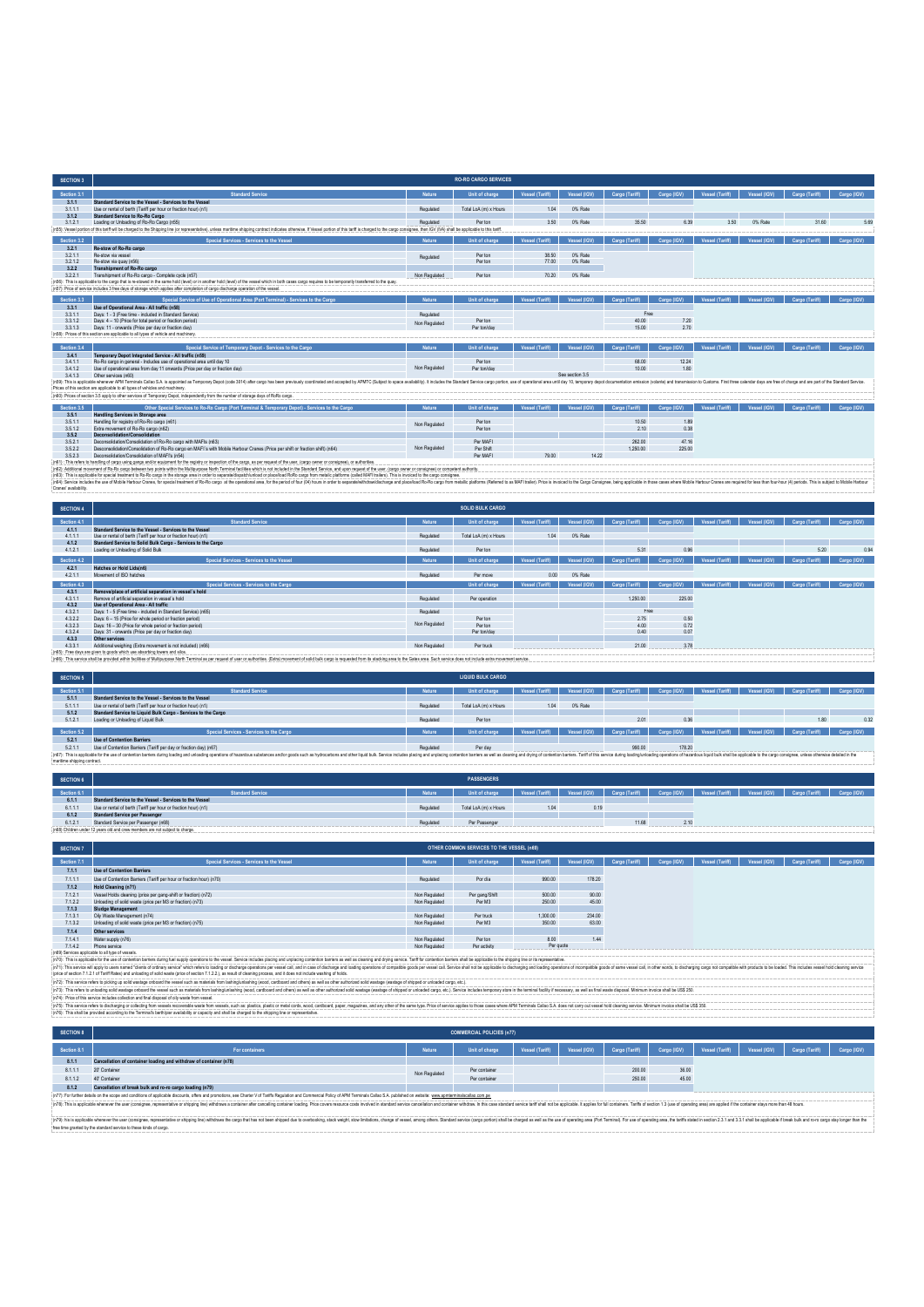| <b>SECTION 3</b>      |                                                                                                                                                                                                                                                                                                                                                                                                                             |               | <b>RO-RO CARGO SERVICES</b> |                       |                 |                       |             |                        |              |                       |             |
|-----------------------|-----------------------------------------------------------------------------------------------------------------------------------------------------------------------------------------------------------------------------------------------------------------------------------------------------------------------------------------------------------------------------------------------------------------------------|---------------|-----------------------------|-----------------------|-----------------|-----------------------|-------------|------------------------|--------------|-----------------------|-------------|
| Section 3.1           | <b>Standard Service</b>                                                                                                                                                                                                                                                                                                                                                                                                     | Nature        | Unit of charge              | <b>Vessel (Tariff</b> | Vessel (IGV)    | <b>Cargo (Tariff)</b> | Cargo (IGV) | Vessel (Tariff)        | Vessel (IGV) | Cargo (Tariff)        | Cargo (IGV) |
| 3.1.1                 | Standard Service to the Vessel - Services to the Vessel                                                                                                                                                                                                                                                                                                                                                                     |               |                             |                       |                 |                       |             |                        |              |                       |             |
| 3.1.1.1               | Use or rental of berth (Tariff per hour or fraction hour) (n1).                                                                                                                                                                                                                                                                                                                                                             | Regulated     | Total LoA (m) x Hours       | 1.04                  | 0% Rate         |                       |             |                        |              |                       |             |
| 3.1.2<br>3121         | <b>Standard Service to Ro-Ro Cargo</b>                                                                                                                                                                                                                                                                                                                                                                                      |               | Per ton                     | 3.50                  |                 | 35.50                 | 6.39        | 3.50                   | 0% Rate      | 31.60                 | 5.69        |
|                       | Loading or Unloading of Ro-Ro Cargo (n55)<br>(n55): Vessel portion of this tariff will be charged to the Shipping line (or representative), unless maritime shipping contract indicates otherwise. If Vessel portion of this tariff is charged to the cargo consignee, then                                                                                                                                                 | Regulated     |                             |                       | 0% Rate         |                       |             |                        |              |                       |             |
| Section 3.2           | Special Services - Services to the Vessel                                                                                                                                                                                                                                                                                                                                                                                   | <b>Nature</b> | Unit of charge              | Vessel (Tariff)       | Vessel (IGV)    | <b>Cargo (Tariff)</b> | Cargo (IGV) | <b>Vessel (Tariff)</b> | Vessel (IGV) | <b>Cargo</b> (Tariff  | Cargo (IGV) |
| 3.2.1                 | Re-stow of Ro-Ro cargo                                                                                                                                                                                                                                                                                                                                                                                                      |               |                             |                       |                 |                       |             |                        |              |                       |             |
| 3211                  | Re-stow via vessel                                                                                                                                                                                                                                                                                                                                                                                                          | Regulated     | Per ton                     | 38.50                 | 0% Rate         |                       |             |                        |              |                       |             |
| 3.2.1.2               | Re-stow via quay (n56)                                                                                                                                                                                                                                                                                                                                                                                                      |               | Per ton                     | 77.00                 | 0% Rate         |                       |             |                        |              |                       |             |
| 3.2.2                 | Transhipment of Ro-Ro cargo                                                                                                                                                                                                                                                                                                                                                                                                 |               |                             |                       |                 |                       |             |                        |              |                       |             |
| 3221                  | Transhipment of Ro-Ro cargo - Complete cycle (n57)<br>(n56): This is applicable to the cargo that is re-stowed in the same hold (level) or in another hold (level) of the vessel which in both cases cargo requires to be temporarily transferred to the quay.                                                                                                                                                              | Non Regulated | Per ton                     | 70.20                 | 0% Rate         |                       |             |                        |              |                       |             |
|                       | in57): Price of service includes 3 free days of storage which applies after completion of cargo discharge operation of the vessel.                                                                                                                                                                                                                                                                                          |               |                             |                       |                 |                       |             |                        |              |                       |             |
|                       |                                                                                                                                                                                                                                                                                                                                                                                                                             |               |                             |                       |                 |                       |             |                        |              |                       |             |
| Section 3.3           | Special Service of Use of Operational Area (Port Terminal) - Services to the Cargo                                                                                                                                                                                                                                                                                                                                          | Nature        | Unit of charge              | <b>Vessel (Tariff</b> | Vessel (IGV)    | <b>Cargo (Tariff)</b> | Cargo (IGV) | Vessel (Tariff)        | Vessel (IGV) | <b>Cargo</b> (Tariff  | Cargo (IGV) |
| 3.3.1                 | Use of Operational Area - All traffic (n58)                                                                                                                                                                                                                                                                                                                                                                                 |               |                             |                       |                 |                       |             |                        |              |                       |             |
| 3.3.1.1               | Days: 1 - 3 (Free time - included in Standard Service)                                                                                                                                                                                                                                                                                                                                                                      | Regulated     |                             |                       |                 | Free                  |             |                        |              |                       |             |
| 3312                  | Days: 4 - 10 (Price for total neriod or fraction period).                                                                                                                                                                                                                                                                                                                                                                   | Non Regulated | Per ton                     |                       |                 | 40.00                 | 7.20        |                        |              |                       |             |
| 3313                  | Days: 11 - onwards (Price per day or fraction day)                                                                                                                                                                                                                                                                                                                                                                          |               | Per ton/day                 |                       |                 | 15.00                 | 270         |                        |              |                       |             |
|                       | (n58): Prices of this section are applicable to all types of vehicle and machinery.                                                                                                                                                                                                                                                                                                                                         |               |                             |                       |                 |                       |             |                        |              |                       |             |
| Section 3.4           | Special Service of Temporary Depot - Services to the Cargo                                                                                                                                                                                                                                                                                                                                                                  | Nature        | Unit of charge              | <b>Vessel (Tariff</b> | Vessel (IGV)    | Cargo (Tariff)        | Cargo (IGV) | <b>Vessel (Tariff)</b> | Vessel (IGV) | <b>Cargo (Tariff)</b> | Cargo (IGV) |
| 3.4.1                 | Temporary Depot Integrated Service - All traffic (n59)                                                                                                                                                                                                                                                                                                                                                                      |               |                             |                       |                 |                       |             |                        |              |                       |             |
| 3411                  | Ro-Ro camo in general - Includes use of operational area until day 10                                                                                                                                                                                                                                                                                                                                                       |               | Per ton                     |                       |                 | 68.00                 | 12.24       |                        |              |                       |             |
| 3412                  | Use of operational area from day 11 onwards (Price per day or fraction day)                                                                                                                                                                                                                                                                                                                                                 | Non Regulated | Per toniday                 |                       |                 | 10.00                 | 1.80        |                        |              |                       |             |
| 3.4.1.3               | Other services (n60)                                                                                                                                                                                                                                                                                                                                                                                                        |               |                             |                       | See section 3.5 |                       |             |                        |              |                       |             |
|                       | (n59): This is applicable whenever APM Terminals Callao S.A. is appointed as Temporary Depot (code 3014) after cargo bas been previously coordinated and accepted by APMTC (Subject to space availability). It includes the St<br>Prices of this section are applicable to all types of vehicles and machinery.                                                                                                             |               |                             |                       |                 |                       |             |                        |              |                       |             |
|                       |                                                                                                                                                                                                                                                                                                                                                                                                                             |               |                             |                       |                 |                       |             |                        |              |                       |             |
|                       | :(n60): Prices of section 3.5 apply to other services of Temporary Depot, independently from the number of storage days of RoRo cargo.                                                                                                                                                                                                                                                                                      |               |                             |                       |                 |                       |             |                        |              |                       |             |
| Section 3.5           | Other Special Services to Ro-Ro Cargo (Port Terminal & Temporary Depot) - Services to the Cargo                                                                                                                                                                                                                                                                                                                             | Nature        | Unit of charge              | <b>Vessel (Tariff</b> | Vessel (IGV)    | Cargo (Tariff)        | Cargo (IGV) | Vessel (Tariff)        | Vessel (IGV) | Cargo (Tariff)        | Cargo (IGV) |
| 3.5.1                 | Handling Services in Storage area                                                                                                                                                                                                                                                                                                                                                                                           |               |                             |                       |                 |                       |             |                        |              |                       |             |
| 3.5.1.1               | Handling for registry of Ro-Ro cargo (n61)                                                                                                                                                                                                                                                                                                                                                                                  | Non Regulated | Per ton                     |                       |                 | 10.50                 | 1.89        |                        |              |                       |             |
| 3512                  | Extra movement of Ro-Ro cargo (n62)                                                                                                                                                                                                                                                                                                                                                                                         |               | Per ton                     |                       |                 | 210                   | 0.38        |                        |              |                       |             |
| 3.5.2                 | Deconsolidation/Consolidation                                                                                                                                                                                                                                                                                                                                                                                               |               |                             |                       |                 |                       |             |                        |              |                       |             |
| 3.5.2.1               | Deconsolidation/Consolidation of Ro-Ro cargo with MAFIs (n63)                                                                                                                                                                                                                                                                                                                                                               |               | Per MAFI                    |                       |                 | 262.00                | 47 16       |                        |              |                       |             |
| 3.5.2.2               | Desconsolidation/Consolidation of Ro-Ro cargo en MAFI's with Mobile Harbour Cranes (Price per shift or fraction shift) (n64)                                                                                                                                                                                                                                                                                                | Non Regulated | Per Shift                   |                       |                 | 1.250.00              | 225.00      |                        |              |                       |             |
| 3523                  | Deconsolidation/Consolidation of MAEI's (n54)                                                                                                                                                                                                                                                                                                                                                                               |               | Per MAFI                    | 79.00                 | 14 22           |                       |             |                        |              |                       |             |
|                       | (n61) : This refers to handling of cargo using gangs and/or equipment for the registry or inspection of the cargo, as per request of the user, (cargo owner or consignee), or authorities<br>(n62): Additional movement of Ro-Ro cargo between two points within the Multipurpose North Terminal facilities which is not included in the Standard Service, and upon request of the user, (cargo owner or consignee) or comp |               |                             |                       |                 |                       |             |                        |              |                       |             |
|                       | (n63): This is applicable for special treatment to Ro-Ro cargo in the storage area in order to separate/dispatch/unload or place/load RoRo cargo from metalic platforms (called MAFI trailers). This is invoiced to the cargo                                                                                                                                                                                               |               |                             |                       |                 |                       |             |                        |              |                       |             |
|                       | (n54): Service includes the use of Mobile Harbour Cranes, for special treatment of Ro-Ro cargo at the operational area, for the period of four (04) hours in order to separate/withdraw/discharge and place/toat of Ro-Ro carg                                                                                                                                                                                              |               |                             |                       |                 |                       |             |                        |              |                       |             |
| Cranes' availability. |                                                                                                                                                                                                                                                                                                                                                                                                                             |               |                             |                       |                 |                       |             |                        |              |                       |             |
|                       |                                                                                                                                                                                                                                                                                                                                                                                                                             |               |                             |                       |                 |                       |             |                        |              |                       |             |
|                       |                                                                                                                                                                                                                                                                                                                                                                                                                             |               |                             |                       |                 |                       |             |                        |              |                       |             |

| <b>SECTION 4</b> |                                                                                                                                                                                                                                |               | <b>SOLID BULK CARGO</b> |                 |              |                |             |                 |              |                                                                                                             |             |
|------------------|--------------------------------------------------------------------------------------------------------------------------------------------------------------------------------------------------------------------------------|---------------|-------------------------|-----------------|--------------|----------------|-------------|-----------------|--------------|-------------------------------------------------------------------------------------------------------------|-------------|
| Section 4.1      | <b>Standard Service</b>                                                                                                                                                                                                        | Nature        | Unit of charge          | Vessel (Tariff) | Vessel (IGV) | Cargo (Tariff) | Cargo (IGV) | Vessel (Tariff) | Vessel (IGV) | Cargo (Tariff)                                                                                              | Cargo (IGV) |
| 4.1.1            | Standard Service to the Vessel - Services to the Vessel                                                                                                                                                                        |               |                         |                 |              |                |             |                 |              |                                                                                                             |             |
| 4111             | Use or rental of berth (Tariff per hour or fraction hour) (n1)                                                                                                                                                                 | Regulated     | Total LoA (m) x Hours   | 1.04            | 0% Rate      |                |             |                 |              |                                                                                                             |             |
| 4.1.2            | Standard Service to Solid Bulk Cargo - Services to the Cargo                                                                                                                                                                   |               |                         |                 |              |                |             |                 |              |                                                                                                             |             |
| 4121             | Loading or Unloading of Solid Bulk                                                                                                                                                                                             | Regulated     | Perton                  |                 |              | 5.31           | 0.96        |                 |              | 5.20                                                                                                        | 0.94        |
| Section 4.2      | Special Services - Services to the Vessel                                                                                                                                                                                      | Nature        | Unit of charge          | Vessel (Tariff) | Vessel (IGV) | Cargo (Tariff) | Cargo (IGV) | Vessel (Tariff) | Vessel (IGV) | Cargo (Tariff)                                                                                              | Cargo (IGV) |
| 4.2.1            | Hatches or Hold Lids(n6)                                                                                                                                                                                                       |               |                         |                 |              |                |             |                 |              |                                                                                                             |             |
| 4211             | Movement of ISO hatches                                                                                                                                                                                                        | Regulated     | Per move                | 0.00            | 0% Rate      |                |             |                 |              |                                                                                                             |             |
| Section 4.3      | Special Services - Services to the Carpo                                                                                                                                                                                       |               | Unit of charge          | Vessel (Tariff) |              |                |             |                 |              | Vessel (IGV)   Cargo (Tariff)   Cargo (IGV)   Vessel (Tariff)   Vessel (IGV)   Cargo (Tariff)   Cargo (IGV) |             |
| 4.3.1            | Remove/place of artificial separation in vessel's hold                                                                                                                                                                         |               |                         |                 |              |                |             |                 |              |                                                                                                             |             |
| 4.3.1.1          | Remove of artificial senaration in vessel's hold                                                                                                                                                                               | Regulated     | Per operation           |                 |              | 1,250.00       | 225.00      |                 |              |                                                                                                             |             |
| 4.3.2            | Use of Operational Area - All traffic                                                                                                                                                                                          |               |                         |                 |              |                |             |                 |              |                                                                                                             |             |
| 4.3.2.1          | Days: 1 - 5 (Free time - included in Standard Service) (n65)                                                                                                                                                                   | Regulated     |                         |                 |              | Free           |             |                 |              |                                                                                                             |             |
| 4.3.2.2          | Days: 6 - 15 (Price for whole period or fraction period)                                                                                                                                                                       |               | Perton                  |                 |              | 2.75           | 0.50        |                 |              |                                                                                                             |             |
| 4323             | Days: 16 - 30 (Price for whole period or fraction period)                                                                                                                                                                      | Non Regulated | Perton                  |                 |              | 4.00           | 0.72        |                 |              |                                                                                                             |             |
| 4.3.2.4          | Days: 31 - onwards (Price per day or fraction day)                                                                                                                                                                             |               | Per ton/day             |                 |              | 0.40           | 0.07        |                 |              |                                                                                                             |             |
| 433              | Other services                                                                                                                                                                                                                 |               |                         |                 |              |                |             |                 |              |                                                                                                             |             |
| 4.3.3.1          | Additional weighing (Extra movement is not included) (n66)                                                                                                                                                                     | Non Regulated | Per truck               |                 |              | 21.00          | 3.78        |                 |              |                                                                                                             |             |
|                  | (n65): Free days are given to goods which use absorbing towers and silos.                                                                                                                                                      |               |                         |                 |              |                |             |                 |              |                                                                                                             |             |
|                  | (inS6): This service shall be provided within facilities of Multipurpose North Terminal as per request of user or authorities. (Extra) movement of solid bulk cargo is requested from its stacking area to the Gates area. Suc |               |                         |                 |              |                |             |                 |              |                                                                                                             |             |

| <b>SECTION 5</b>            |                                                                                                                                                                                                                                |           | <b>LIQUID BULK CARGO</b> |                 |              |                |             |                 |              |                |             |
|-----------------------------|--------------------------------------------------------------------------------------------------------------------------------------------------------------------------------------------------------------------------------|-----------|--------------------------|-----------------|--------------|----------------|-------------|-----------------|--------------|----------------|-------------|
| Section 5.1                 | <b>Standard Service</b>                                                                                                                                                                                                        | Nature    | Unit of charge           | Vessel (Tariff) | Vessel (IGV) | Cargo (Tariff) | Cargo (IGV) | Vessel (Tariff) | Vessel (IGV) | Cargo (Tanff)  | Cargo (IGV) |
| 5.1.1                       | Standard Service to the Vessel - Services to the Vessel                                                                                                                                                                        |           |                          |                 |              |                |             |                 |              |                |             |
| 5111                        | Use or rental of berth (Tariff per hour or fraction hour) (n1)                                                                                                                                                                 | Regulated | Total LoA (m) x Hours    | 104             | 0% Rate      |                |             |                 |              |                |             |
| 5.1.2                       | Standard Service to Liquid Bulk Cargo - Services to the Cargo                                                                                                                                                                  |           |                          |                 |              |                |             |                 |              |                |             |
| 5.1.2.1                     | Loading or Unloading of Liquid Bulk                                                                                                                                                                                            | Regulated | Per ton                  |                 |              | 2.01           | 0.36        |                 |              | 1.80           | 0.32        |
|                             |                                                                                                                                                                                                                                |           |                          |                 |              |                |             |                 |              |                |             |
| Section 5.2                 | Special Services - Services to the Cargo                                                                                                                                                                                       | Nature    | Unit of charge           | Vessel (Tariff) | Vessel (IGV) | Cargo (Tariff) | Cargo (IGV) | Vessel (Tariff) | Vessel (IGV) | Cargo (Tariff) | Cargo (IGV) |
| 5.2.1                       | <b>Use of Contention Barriers</b>                                                                                                                                                                                              |           |                          |                 |              |                |             |                 |              |                |             |
| 5.2.1.1                     | Use of Contention Barriers (Tariff per day or fraction day) (n67)                                                                                                                                                              | Regulated | Per day                  |                 |              | 990.00         | 178.20      |                 |              |                |             |
|                             | (n67): This is applicable for the use of contention barriers during loading and unloading operations of hazardous substances and/or goods such as hydrocarbors and ofther liquid butk. Service includes placing contention bar |           |                          |                 |              |                |             |                 |              |                |             |
| maritime shipping contract. |                                                                                                                                                                                                                                |           |                          |                 |              |                |             |                 |              |                |             |

| <b>SECTION 6</b> |                                                                               |           | <b>PASSENGERS</b>     |                 |              |                |                                                                             |  |  |
|------------------|-------------------------------------------------------------------------------|-----------|-----------------------|-----------------|--------------|----------------|-----------------------------------------------------------------------------|--|--|
| Section 6.1      | <b>Standard Service</b>                                                       | Motura    | "Init of charge       | Vessel (Tariff) | Vessel (IGV) | Cargo (Tariff) | Cargo (IGV)   Vessel (Tariff)   Vessel (IGV)   Cargo (Tariff)   Cargo (IGV) |  |  |
| 6.1.1            | Standard Service to the Vessel - Services to the Vessel                       |           |                       |                 |              |                |                                                                             |  |  |
| 6.1.1.1          | Use or rental of berth (Tariff per hour or fraction hour) (n1)                | Regulated | Total LoA (m) x Hours | 1.04            | 0.19         |                |                                                                             |  |  |
| 6.1.2            | <b>Standard Service per Passenger</b>                                         |           |                       |                 |              |                |                                                                             |  |  |
| 6.1.2.1          | Standard Service per Passenger (n68)                                          | Regulated | Per Passenger         |                 |              | 11.68          | 2.10                                                                        |  |  |
|                  | in68) Children under 12 years old and crew members are not subject to charge. |           |                       |                 |              |                |                                                                             |  |  |

| <b>SECTION 7</b> |                                                                                                                                                                                                                                |               | OTHER COMMON SERVICES TO THE VESSEL (n69) |                        |              |                |             |                 |              |                |  |  |  |             |
|------------------|--------------------------------------------------------------------------------------------------------------------------------------------------------------------------------------------------------------------------------|---------------|-------------------------------------------|------------------------|--------------|----------------|-------------|-----------------|--------------|----------------|--|--|--|-------------|
| Section 7.1      | Special Services - Services to the Vessel                                                                                                                                                                                      | Nature        | Unit of charge                            | <b>Vessel (Tariff)</b> | Vessel (IGV) | Cargo (Tariff) | Cargo (IGV) | Vessel (Tariff) | Vessel (IGV) | Cargo (Tariff) |  |  |  | Cargo (IGV) |
| 7.1.1            | <b>Use of Contention Barriers</b>                                                                                                                                                                                              |               |                                           |                        |              |                |             |                 |              |                |  |  |  |             |
| 7.1.1.1          | Use of Contention Barriers (Tariff per hour or fraction hour) (n70)                                                                                                                                                            | Regulated     | Por día                                   | 990.00                 | 178.20       |                |             |                 |              |                |  |  |  |             |
| 7.1.2            | Hold Cleaning (n71)                                                                                                                                                                                                            |               |                                           |                        |              |                |             |                 |              |                |  |  |  |             |
| 7.1.2.1          | Vessel Holds cleaning (price per gang-shift or fraction) (n72)                                                                                                                                                                 | Non Regulated | Per gang/Shift                            | 500.00                 | 90.00        |                |             |                 |              |                |  |  |  |             |
| 7.1.2.2          | Unloading of solid waste (price per M3 or fraction) (n73)                                                                                                                                                                      | Non Regulated | Per M3                                    | 250.00                 | 45.00        |                |             |                 |              |                |  |  |  |             |
| 7.1.3            | Sludge Management                                                                                                                                                                                                              |               |                                           |                        |              |                |             |                 |              |                |  |  |  |             |
| 7.1.3.1          | Oily Waste Management (n74)                                                                                                                                                                                                    | Non Regulated | Per truck                                 | 1,300.00               | 234,00       |                |             |                 |              |                |  |  |  |             |
| 7.1.3.2          | Unloading of solid waste (price per M3 or fraction) (n75)                                                                                                                                                                      | Non Regulated | Per M3                                    | 350.00                 | 63.00        |                |             |                 |              |                |  |  |  |             |
| 7.1.4            | Other services                                                                                                                                                                                                                 |               |                                           |                        |              |                |             |                 |              |                |  |  |  |             |
| 7.1.4.1          | Water supply (n76)                                                                                                                                                                                                             | Non Regulated | Perton                                    | 8.00                   | 1.44         |                |             |                 |              |                |  |  |  |             |
| 7142             | Phone service                                                                                                                                                                                                                  | Non Regulated | Per activity                              | Per quote              |              |                |             |                 |              |                |  |  |  |             |
|                  | in69) Services applicable to all type of vessels.                                                                                                                                                                              |               |                                           |                        |              |                |             |                 |              |                |  |  |  |             |
|                  | : (n70): This is applicable for the use of contention barriers during fuel supply operations to the vessel. Service includes placing and unplacing contention barriers as well as cleaning and drying service. Tariff for cont |               |                                           |                        |              |                |             |                 |              |                |  |  |  |             |
|                  | (n71): This service will apply to users named "clients of ordinary service" which refers to loading or discharge operations per vessel call, and in case of discharge and incolarge and loading operations of compatible goods |               |                                           |                        |              |                |             |                 |              |                |  |  |  |             |
|                  | :(price of section 7.1.2.1 of Tariff Rates) and unloading of solid waste (price of section 7.1.2.2.), as result of cleaning process, and it does not include washing of holds.                                                 |               |                                           |                        |              |                |             |                 |              |                |  |  |  |             |
|                  | : in72t: This service refers to picking up solid wastage onboard the vessel such as materials from lashing/unlashing (wood, cardboard and others) as well as other authorized solid wastage (wastage of shipped or unloaded ca |               |                                           |                        |              |                |             |                 |              |                |  |  |  |             |

(n7). This serice relets is plaing up sold assiste the cent such as materials form inshing intention (and continue) mood, cardboard and others) as will as other adhotical sold assiste (easilge of althodos cards of any etc.

(n)Stills are the four degree colleting for weeds recoverable easie for weeds. such as plate credit constant paper, magazines, and any other of the same type Price d service spaces and any of the same type Price devices an

 $\mathbf{r}$ 

| <b>SECTION 8</b> |                                                                                                                                                                                                                                |               | <b>COMMERCIAL POLICIES (n77)</b> |                 |              |                |             |                 |              |                |             |
|------------------|--------------------------------------------------------------------------------------------------------------------------------------------------------------------------------------------------------------------------------|---------------|----------------------------------|-----------------|--------------|----------------|-------------|-----------------|--------------|----------------|-------------|
| Section 8.1      | For containers                                                                                                                                                                                                                 | <b>Nature</b> | Unit of charge                   | Vessel (Tariff) | Vessel (IGV) | Cargo (Tariff) | Cargo (IGV) | Vessel (Tariff) | Vessel (IGV) | Cargo (Tariff) | Cargo (IGV) |
| 8.1.1            | Cancellation of container loading and withdraw of container (n78)                                                                                                                                                              |               |                                  |                 |              |                |             |                 |              |                |             |
| 8.1.1.1          | 20' Container                                                                                                                                                                                                                  | Non Regulated | Per container                    |                 |              | 200.00         | 36.00       |                 |              |                |             |
| 8112             | 40' Container                                                                                                                                                                                                                  |               | Per container                    |                 |              | 250.00         | 45.00       |                 |              |                |             |
| 8.1.2            | Cancellation of break bulk and ro-ro cargo loading (n79)                                                                                                                                                                       |               |                                  |                 |              |                |             |                 |              |                |             |
|                  | (n77): For further details on the scope and conditions of applicable discounts, offers and promotions, see Charter V of Tariffs Regulation and Commercial Policy of APM Terminals Callao S.A. published on website: www.apmler |               |                                  |                 |              |                |             |                 |              |                |             |
|                  | : (n78): This is applicable whenever the user (consignee, recressentative or shipping line) withdraws a container after cancelling container loading. Price covers resource coals involved in standard service cancellaton and |               |                                  |                 |              |                |             |                 |              |                |             |

(n79): his is applicable whenever the user (consignee, representative or shipping line) withdraws the cargo that has not been shipped due to overbooking, stack weight, stow limitations, change of vessel, among others. Standard service (cargo portion) shall be charged as well as the use of operating area (Port Terminal). For use of operating area, the tariffs stated in section 2.3.1 and 3.3.1 shall be applicable if break bulk and ro-ro cargo stay longer than the free time granted by the standard service to these kinds of cargo.